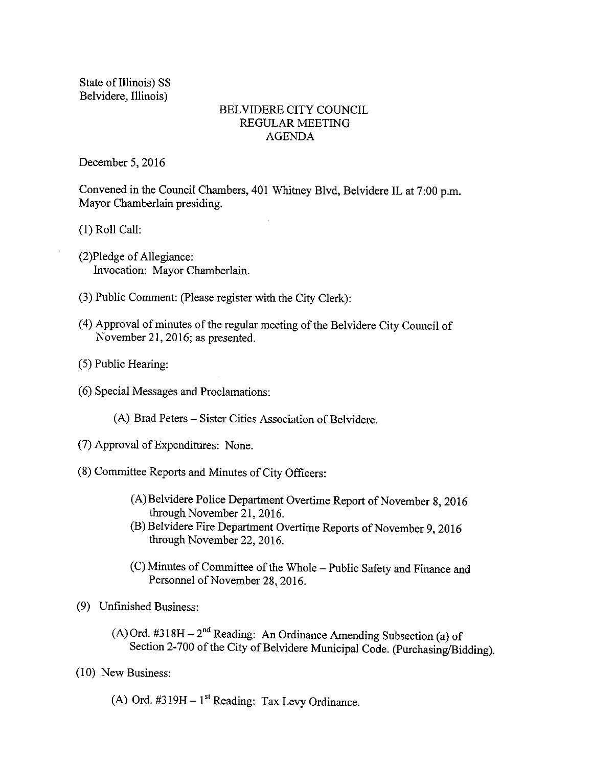State of Illinois) SS Belvidere, Illinois)

### BELVIDERE CITY COUNCIL REGULAR MEETING AGENDA

December 5, 2016

Convened in the Council Chambers, 401 Whitney Blvd, Belvidere IL at 7:00 p.m. Mayor Chamberlain presiding.

1) Roll Call:

- 2)Pledge of Allegiance: Invocation: Mayor Chamberlain.
- 3) Public Comment: (Please register with the City Clerk):
- 4) Approval of minutes of the regular meeting of the Belvidere City Council of November 21, 2016; as presented.
- 5) Public Hearing:
- 6) Special Messages and Proclamations:
	- A) Brad Peters— Sister Cities Association of Belvidere.
- 7) Approval of Expenditures: None.
- 8) Committee Reports and Minutes of City Officers:
	- A)Belvidere Police Department Overtime Report of November 8, 2016 through November 21, 2016.
	- (B) Belvidere Fire Department Overtime Reports of November 9, 2016 through November 22, 2016.
	- C) Minutes of Committee of the Whole— Public Safety and Finance and Personnel of November 28, 2016.
- 9) Unfinished Business:
	- (A) Ord.  $\#318H 2^{nd}$  Reading: An Ordinance Amending Subsection (a) of Section 2-700 of the City of Belvidere Municipal Code. (Purchasing/Bidding).
- 10) New Business:
	- A) Ord.  $\#319H 1$ <sup>st</sup> Reading: Tax Levy Ordinance.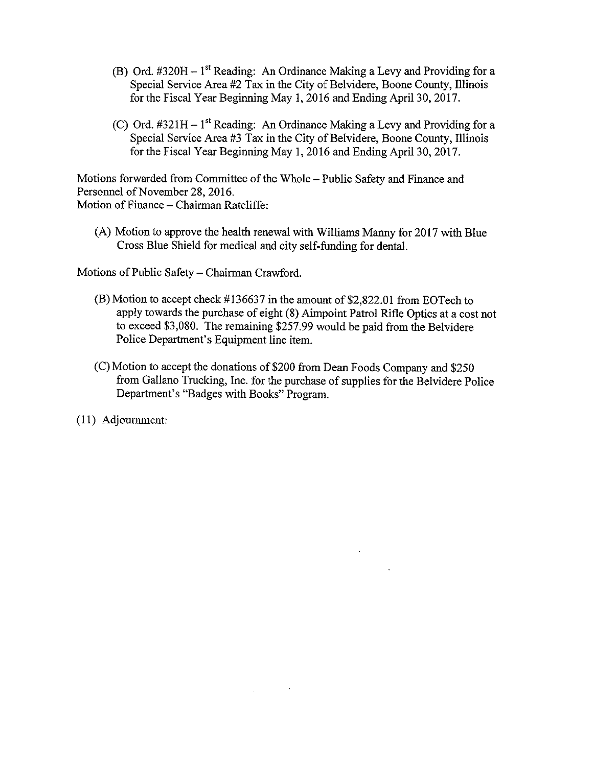- (B) Ord.  $\text{\#320H} 1^{\text{st}}$  Reading: An Ordinance Making a Levy and Providing for a Special Service Area #2 Tax in the City of Belvidere, Boone County, Illinois for the Fiscal Year Beginning May 1, 2016 and Ending April 30, 2017.
- (C) Ord.  $\#321H 1$ <sup>st</sup> Reading: An Ordinance Making a Levy and Providing for a Special Service Area #3 Tax in the City of Belvidere, Boone County, Illinois for the Fiscal Year Beginning May 1, 2016 and Ending April 30, 2017.

Motions forwarded from Committee of the Whole— Public Safety and Finance and Personnel of November 28, 2016. Motion of Finance— Chairman Ratcliffe:

A) Motion to approve the health renewal with Williams Manny for 2017 with Blue Cross Blue Shield for medical and city self-funding for dental.

Motions of Public Safety— Chairman Crawford.

- $(B)$  Motion to accept check #136637 in the amount of \$2,822.01 from EOTech to apply towards the purchase of eight (8) Aimpoint Patrol Rifle Optics at a cost not to exceed \$3,080. The remaining \$257.99 would be paid from the Belvidere Police Department's Equipment line item.
- (C) Motion to accept the donations of \$200 from Dean Foods Company and \$250 from Gallano Trucking, Inc. for the purchase of supplies for the Belvidere Police Department's "Badges with Books" Program.

11) Adjournment: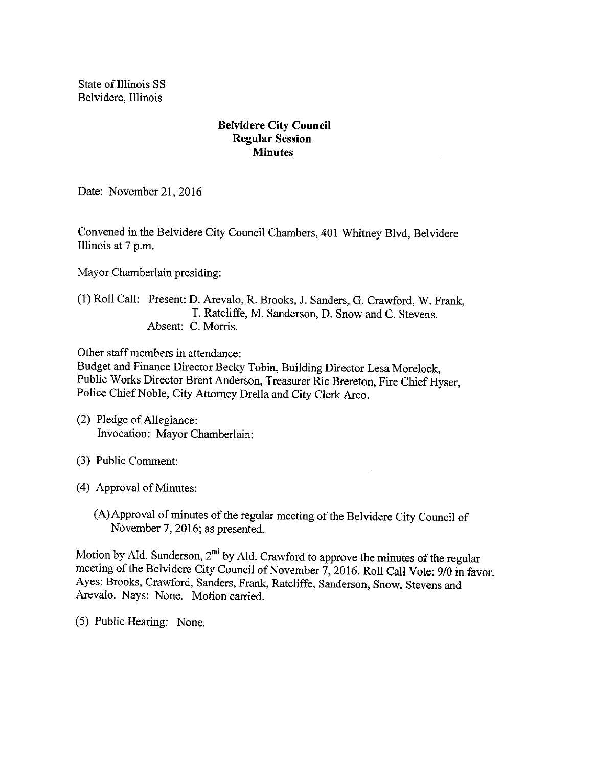State of Illinois SS Belvidere, Illinois

## Belvidere City Council Regular Session **Minutes**

Date: November 21, 2016

Convened in the Belvidere City Council Chambers, 401 Whitney Blvd, Belvidere Illinois at 7 p.m.

Mayor Chamberlain presiding:

### 1) Roll Call: Present: D. Arevalo, R. Brooks, J. Sanders, G. Crawford, W. Frank, T. Ratcliffe, M. Sanderson, D. Snow and C. Stevens. Absent: C. Morris.

Other staff members in attendance:

Budget and Finance Director Becky Tobin, Building Director Lesa Morelock, Public Works Director Brent Anderson, Treasurer Ric Brereton, Fire Chief Hyser, Police Chief Noble, City Attorney Drella and City Clerk Arco.

- (2) Pledge of Allegiance: Invocation: Mayor Chamberlain:
- 3) Public Comment:
- 4) Approval of Minutes:
	- A)Approval of minutes of the regular meeting of the Belvidere City Council of November 7, 2016; as presented.

Motion by Ald. Sanderson,  $2<sup>nd</sup>$  by Ald. Crawford to approve the minutes of the regular meeting of the Belvidere City Council of November 7, 2016. Roll Call Vote: 9/0 in favor. Ayes: Brooks, Crawford, Sanders, Frank, Ratcliffe, Sanderson, Snow, Stevens and Arevalo. Nays: None. Motion carried.

5) Public Hearing: None.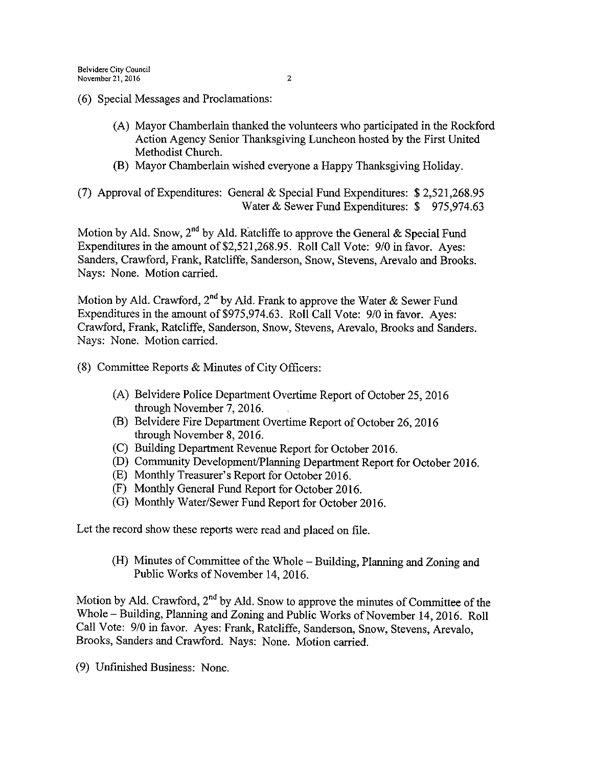- 6) Special Messages and Proclamations:
	- A) Mayor Chamberlain thanked the volunteers who participated in the Rockford Action Agency Senior Thanksgiving Luncheon hosted by the First United Methodist Church.
	- B) Mayor Chamberlain wished everyone a Happy Thanksgiving Holiday.

(7) Approval of Expenditures: General & Special Fund Expenditures:  $$2,521,268.95$ Water & Sewer Fund Expenditures: \$975,974.63

Motion by Ald. Snow, 2<sup>nd</sup> by Ald. Ratcliffe to approve the General & Special Fund Expenditures in the amount of \$2,521, 268. 95. Roll Call Vote: 9/0 in favor. Ayes: Sanders, Crawford, Frank, Ratcliffe, Sanderson, Snow, Stevens, Arevalo and Brooks. Nays: None. Motion carried.

Motion by Ald. Crawford,  $2^{\text{nd}}$  by Ald. Frank to approve the Water  $\&$  Sewer Fund Expenditures in the amount of \$975, 974.63. Roll Call Vote: 9/0 in favor. Ayes: Crawford, Frank, Ratcliffe, Sanderson, Snow, Stevens, Arevalo, Brooks and Sanders. Nays: None. Motion carried.

- 8) Committee Reports & Minutes of City Officers:
	- A) Belvidere Police Department Overtime Report of October 25, 2016 through November 7, 2016.
	- B) Belvidere Fire Department Overtime Report of October 26, 2016 through November 8, 2016.
	- C) Building Department Revenue Report for October 2016.
	- D) Community Development/Planning Department Report for October 2016.
	- E) Monthly Treasurer' <sup>s</sup> Report for October 2016.
	- F) Monthly General Fund Report for October 2016.
	- G) Monthly Water/Sewer Fund Report for October 2016.

Let the record show these reports were read and placed on file.

H) Minutes of Committee of the Whole— Building, Planning and Zoning and Public Works of November 14, 2016.

Motion by Ald. Crawford,  $2^{nd}$  by Ald. Snow to approve the minutes of Committee of the Whole—Building, Planning and Zoning and Public Works of November 14, 2016. Roll Call Vote: 9/0 in favor. Ayes: Frank, Ratcliffe, Sanderson, Snow, Stevens, Arevalo, Brooks, Sanders and Crawford. Nays: None. Motion carried.

9) Unfinished Business: None.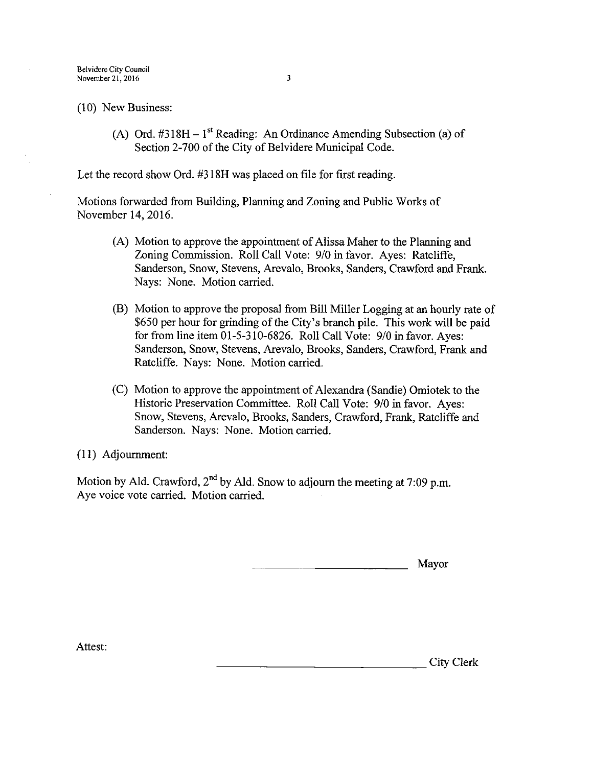Belvidere City Council November  $21, 2016$  3

10) New Business:

(A) Ord.  $\#318H - 1^{st}$  Reading: An Ordinance Amending Subsection (a) of Section 2-700 of the City of Belvidere Municipal Code.

Let the record show Ord. #318H was placed on file for first reading.

Motions forwarded from Building, Planning and Zoning and Public Works of November 14, 2016.

- (A) Motion to approve the appointment of Alissa Maher to the Planning and Zoning Commission. Roll Call Vote: 9/0 in favor. Ayes: Ratcliffe, Sanderson, Snow, Stevens, Arevalo, Brooks, Sanders, Crawford and Frank. Nays: None. Motion carried.
- B) Motion to approve the proposal from Bill Miller Logging at an hourly rate of 650 per hour for grinding of the City' <sup>s</sup> branch pile. This work will be paid for from line item 01-5-310-6826. Roll Call Vote: 9/0 in favor. Ayes: Sanderson, Snow, Stevens, Arevalo, Brooks, Sanders, Crawford, Frank and Ratcliffe. Nays: None. Motion carried.
- (C) Motion to approve the appointment of Alexandra (Sandie) Omiotek to the Historic Preservation Committee. Roll Call Vote: 9/0 in favor. Ayes: Snow, Stevens, Arevalo, Brooks, Sanders, Crawford, Frank, Ratcliffe and Sanderson. Nays: None. Motion carried.

11) Adjournment:

Motion by Ald. Crawford, 2<sup>nd</sup> by Ald. Snow to adjourn the meeting at 7:09 p.m. Aye voice vote carried. Motion carried.

Mayor

Attest: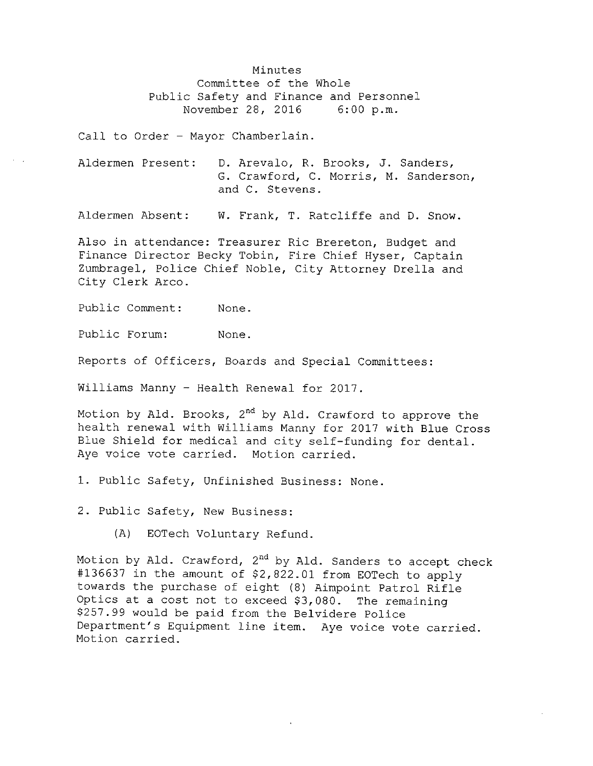Minutes Committee of the Whole Public Safety and Finance and Personnel<br>November 28, 2016 6:00 p.m. November 28, 2016

Call to Order - Mayor Chamberlain.

Aldermen Present: D. Arevalo, R. Brooks, J. Sanders, G. Crawford, C. Morris, M. Sanderson, and C. Stevens .

Aldermen Absent: W. Frank, T. Ratcliffe and D. Snow.

Also in attendance: Treasurer Ric Brereton, Budget and Finance Director Becky Tobin, Fire Chief Hyser, Captain Zumbragel, Police Chief Noble, City Attorney Drella and City Clerk Arco.

Public Comment: None.

Public Forum: None.

Reports of Officers, Boards and Special Committees:

Williams Manny - Health Renewal for 2017.

Motion by Ald. Brooks, 2<sup>nd</sup> by Ald. Crawford to approve the health renewal with Williams Manny for 2017 with Blue Cross Blue Shield for medical and city self-funding for dental. Aye voice vote carried. Motion carried.

1. Public Safety, Unfinished Business: None.

2. Public Safety, New Business:

A) EOTech Voluntary Refund.

Motion by Ald. Crawford, 2<sup>nd</sup> by Ald. Sanders to accept check #136637 in the amount of \$2,822.01 from EOTech to apply towards the purchase of eight (8) Aimpoint Patrol Rifle Optics at a cost not to exceed  $$3,080$ . The remaining 257 . 99 would be paid from the Belvidere Police Department's Equipment line item. Aye voice vote carried. Motion carried.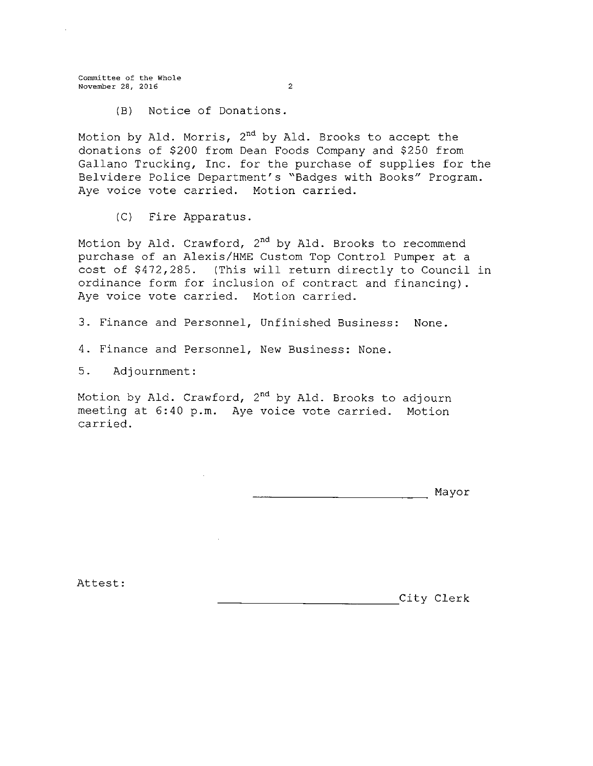Committee of the Whole November 28, 2016 2

B) Notice of Donations .

Motion by Ald. Morris, 2nd by Ald. Brooks to accept the donations of \$200 from Dean Foods Company and \$250 from Gallano Trucking, Inc. for the purchase of supplies for the Belvidere Police Department' s " Badges with Books" Program. Aye voice vote carried. Motion carried.

C) Fire Apparatus.

Motion by Ald. Crawford, 2<sup>nd</sup> by Ald. Brooks to recommend purchase of an Alexis/HME Custom Top Control Pumper at a cost of \$472, 285 . ( This will return directly to Council in ordinance form for inclusion of contract and financing) . Aye voice vote carried. Motion carried.

3. Finance and Personnel, Unfinished Business: None.

4. Finance and Personnel, New Business: None.

5 . Adjournment :

Motion by Ald. Crawford, 2<sup>nd</sup> by Ald. Brooks to adjourn meeting at 6:40 p.m. Aye voice vote carried. Motion carried.

Mayor

Attest :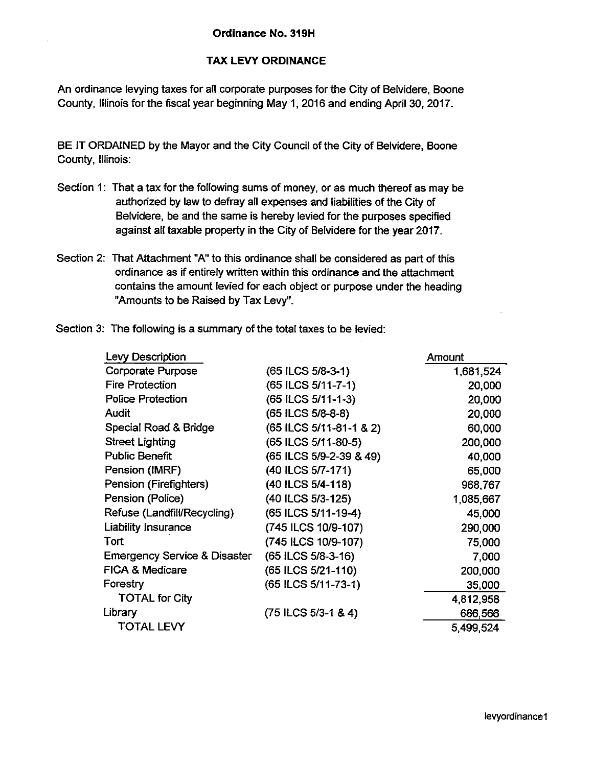### TAX LEVY ORDINANCE

An ordinance levying taxes for all corporate purposes for the City of Belvidere, Boone County, Illinois for the fiscal year beginning May 1, 2016 and ending April 30, 2017.

BE IT ORDAINED by the Mayor and the City Council of the City of Belvidere, Boone County, Illinois:

- Section 1: That a tax for the following sums of money, or as much thereof as may be authorized by law to defray all expenses and liabilities of the City of Belvidere, be and the same is hereby levied for the purposes specified against all taxable property in the City of Belvidere for the year 2017.
- Section 2: That Attachment "A" to this ordinance shall be considered as part of this ordinance as if entirely written within this ordinance and the attachment contains the amount levied for each object or purpose under the heading Amounts to be Raised by Tax Levy".
- Section 3: The following is a summary of the total taxes to be levied:

| Levy Description                        |                         | Amount    |
|-----------------------------------------|-------------------------|-----------|
| <b>Corporate Purpose</b>                | (65 ILCS 5/8-3-1)       | 1,681,524 |
| Fire Protection                         | (65 ILCS 5/11-7-1)      | 20,000    |
| <b>Police Protection</b>                | (65 ILCS 5/11-1-3)      | 20,000    |
| <b>Audit</b>                            | (65 ILCS 5/8-8-8)       | 20,000    |
| Special Road & Bridge                   | (65 ILCS 5/11-81-1 & 2) | 60,000    |
| <b>Street Lighting</b>                  | (65 ILCS 5/11-80-5)     | 200,000   |
| <b>Public Benefit</b>                   | (65 ILCS 5/9-2-39 & 49) | 40,000    |
| Pension (IMRF)                          | (40 ILCS 5/7-171)       | 65,000    |
| Pension (Firefighters)                  | (40 ILCS 5/4-118)       | 968,767   |
| Pension (Police)                        | (40 ILCS 5/3-125)       | 1,085,667 |
| Refuse (Landfill/Recycling)             | (65 ILCS 5/11-19-4)     | 45,000    |
| <b>Liability Insurance</b>              | (745 ILCS 10/9-107)     | 290,000   |
| Tort                                    | (745 ILCS 10/9-107)     | 75,000    |
| <b>Emergency Service &amp; Disaster</b> | (65 ILCS 5/8-3-16)      | 7,000     |
| <b>FICA &amp; Medicare</b>              | (65 ILCS 5/21-110)      | 200,000   |
| Forestry                                | (65 ILCS 5/11-73-1)     | 35,000    |
| <b>TOTAL for City</b>                   |                         | 4,812,958 |
| Library                                 | $(75$ ILCS $5/3-1$ & 4) | 686,566   |
| <b>TOTAL LEVY</b>                       |                         | 5,499,524 |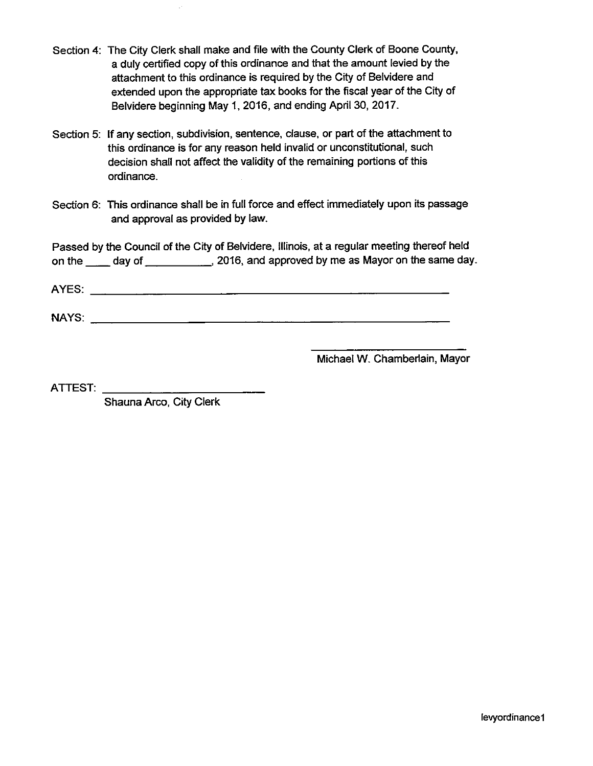- Section 4: The City Clerk shall make and file with the County Clerk of Boone County, a duly certified copy of this ordinance and that the amount levied by the attachment to this ordinance is required by the City of Belvidere and extended upon the appropriate tax books for the fiscal year of the City of Belvidere beginning May 1, 2016, and ending April 30, 2017.
- Section 5: If any section, subdivision, sentence, clause, or part of the attachment to this ordinance is for any reason held invalid or unconstitutional, such decision shall not affect the validity of the remaining portions of this ordinance.
- Section 6: This ordinance shall be in full force and effect immediately upon its passage and approval as provided by law.

Passed by the Council of the City of Belvidere, Illinois, at a regular meeting thereof held on the day of 2016, and approved by me as Mayor on the same day.

AYES:

NAYS:

Michael W. Chamberlain, Mayor

ATTEST:

Shauna Arco, City Clerk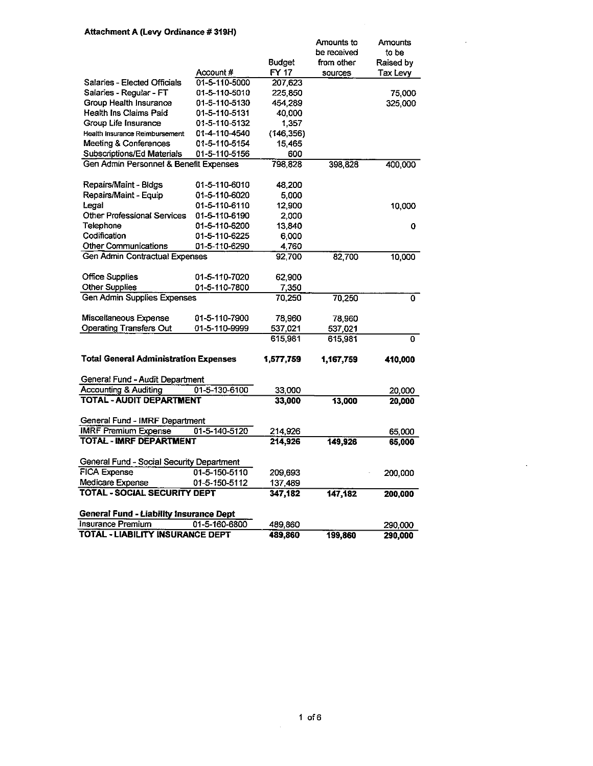#### Attachment A (Levy Ordinance # 319H)

|                                                                      |               |                | Amounts to  | Amounts   |
|----------------------------------------------------------------------|---------------|----------------|-------------|-----------|
|                                                                      |               |                | be received | to be     |
|                                                                      |               | Budget         | from other  | Raised by |
|                                                                      | Account #     | FY 17          | sources     | Tax Levy  |
| Salaries - Elected Officials                                         | 01-5-110-5000 | 207,623        |             |           |
| Salaries - Regular - FT                                              | 01-5-110-5010 | 225,850        |             | 75,000    |
| Group Health Insurance                                               | 01-5-110-5130 | 454,289        |             | 325,000   |
| Health Ins Claims Paid                                               | 01-5-110-5131 | 40,000         |             |           |
| Group Life Insurance                                                 | 01-5-110-5132 | 1,357          |             |           |
| Health Insurance Reimbursement                                       | 01-4-110-4540 | (146, 356)     |             |           |
| Meeting & Conferences                                                | 01-5-110-5154 | 15,465         |             |           |
| Subscriptions/Ed Materials<br>Gen Admin Personnel & Benefit Expenses | 01-5-110-5156 | 600<br>798 828 |             |           |
|                                                                      |               |                | 398,828     | 400,000   |
| Repairs/Maint - Bldgs                                                | 01-5-110-6010 | 48.200         |             |           |
| Repairs/Maint - Equip                                                | 01-5-110-6020 | 5.000          |             |           |
| Legal                                                                | 01-5-110-6110 | 12,900         |             | 10,000    |
| Other Professional Services                                          | 01-5-110-6190 | 2,000          |             |           |
| Telephone                                                            | 01-5-110-6200 | 13,840         |             | 0         |
| Codification                                                         | 01-5-110-6225 | 6,000          |             |           |
| <b>Other Communications</b>                                          | 01-5-110-6290 | 4,760          |             |           |
| Gen Admin Contractual Expenses                                       |               | 92,700         | 82,700      | 10,000    |
| <b>Office Supplies</b>                                               | 01-5-110-7020 | 62,900         |             |           |
| <b>Other Supplies</b>                                                | 01-5-110-7800 | 7,350          |             |           |
| <b>Gen Admin Supplies Expenses</b>                                   |               | 70,250         | 70,250      | 0         |
|                                                                      |               |                |             |           |
| Miscellaneous Expense                                                | 01-5-110-7900 | 78,960         | 78,960      |           |
| <b>Operating Transfers Out</b>                                       | 01-5-110-9999 | 537,021        | 537,021     |           |
|                                                                      |               | 615,981        | 615,981     | 0         |
| <b>Total General Administration Expenses</b>                         |               | 1,577,759      | 1,167,759   | 410,000   |
| General Fund - Audit Department                                      |               |                |             |           |
| <b>Accounting &amp; Auditing</b>                                     | 01-5-130-6100 | 33,000         |             | 20,000    |
| <b>TOTAL - AUDIT DEPARTMENT</b>                                      |               | 33,000         | 13,000      | 20,000    |
|                                                                      |               |                |             |           |
| General Fund - IMRF Department                                       |               |                |             |           |
| <b>IMRF Premium Expense</b>                                          | 01-5-140-5120 | 214,926        |             | 65,000    |
| <b>TOTAL - IMRF DEPARTMENT</b>                                       |               | 214,926        | 149,926     | 65,000    |
| General Fund - Social Security Department                            |               |                |             |           |
| <b>FICA Expense</b>                                                  | 01-5-150-5110 | 209,693        |             | 200,000   |
| Medicare Expense                                                     | 01-5-150-5112 | 137,489        |             |           |
| <b>TOTAL - SOCIAL SECURITY DEPT</b>                                  |               | 347,182        | 147, 182    | 200,000   |
| <b>General Fund - Liability Insurance Dept</b>                       |               |                |             |           |
| Insurance Premium                                                    | 01-5-160-6800 | 489,860        |             | 290,000   |
| <b>TOTAL - LIABILITY INSURANCE DEPT</b>                              |               | 489,860        | 199,860     | 290,000   |
|                                                                      |               |                |             |           |

 $\mathcal{L}$ 

 $\ddot{\phantom{0}}$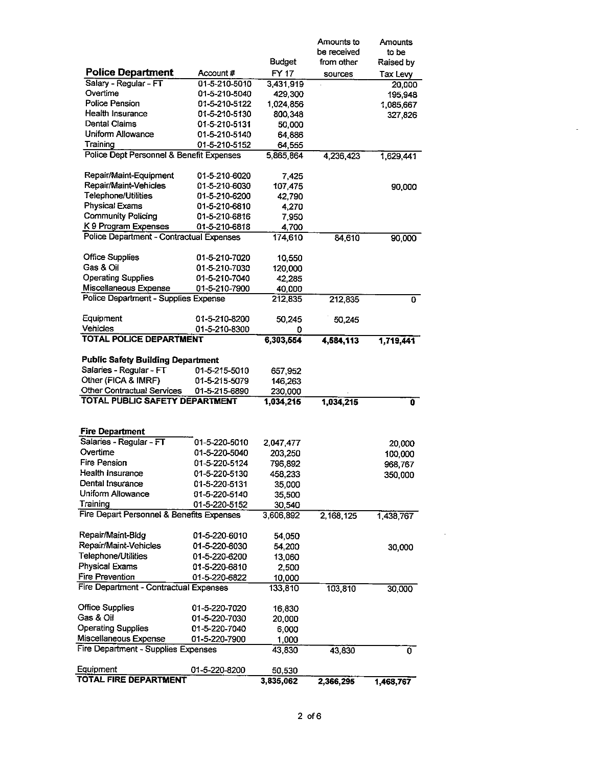|                                                                  |                                |                     | Amounts to  | Amounts           |
|------------------------------------------------------------------|--------------------------------|---------------------|-------------|-------------------|
|                                                                  |                                |                     | be received | to be             |
| <b>Police Department</b>                                         | Account #                      | Budget              | from other  | Raised by         |
| Salary - Regular - FT                                            | 01-5-210-5010                  | FY 17<br>3,431,919  | sources     | Tax Levy          |
| Overtime                                                         | 01-5-210-5040                  | 429,300             |             | 20,000<br>195,948 |
| Police Pension                                                   | 01-5-210-5122                  | 1,024,856           |             | 1,085,667         |
| Health Insurance                                                 | 01-5-210-5130                  | 800,348             |             | 327,826           |
| Dental Claims                                                    | 01-5-210-5131                  | 50,000              |             |                   |
| Uniform Allowance                                                | 01-5-210-5140                  | 64.886              |             |                   |
| Training                                                         | 01-5-210-5152                  | 64,555              |             |                   |
| Police Dept Personnel & Benefit Expenses                         |                                | 5,865,864           | 4,236,423   | 1,629,441         |
|                                                                  |                                |                     |             |                   |
| Repair/Maint-Equipment                                           | 01-5-210-6020                  | 7.425               |             |                   |
| Repair/Maint-Vehicles                                            | 01-5-210-6030                  | 107,475             |             | 90,000            |
| Telephone/Utilities                                              | 01-5-210-6200                  | 42.790              |             |                   |
| <b>Physical Exams</b>                                            | 01-5-210-6810                  | 4.270               |             |                   |
| <b>Community Policing</b>                                        | 01-5-210-6816                  | 7,950               |             |                   |
| K 9 Program Expenses<br>Police Department - Contractual Expenses | 01-5-210-6818                  | 4,700<br>174,610    | 84,610      |                   |
|                                                                  |                                |                     |             | 90,000            |
| <b>Office Supplies</b>                                           | 01-5-210-7020                  | 10,550              |             |                   |
| Gas & Oil                                                        | 01-5-210-7030                  | 120,000             |             |                   |
| <b>Operating Supplies</b>                                        | 01-5-210-7040                  | 42,285              |             |                   |
| Miscellaneous Expense                                            | 01-5-210-7900                  | 40,000              |             |                   |
| Police Department - Supplies Expense                             |                                | 212,835             | 212,835     | 0                 |
|                                                                  |                                |                     |             |                   |
| Equipment<br>Vehicles                                            | 01-5-210-8200                  | 50,245              | 50,245      |                   |
| <b>TOTAL POLICE DEPARTMENT</b>                                   | 01-5-210-8300                  | 0<br>6,303,554      | 4,584,113   | 1,719,441         |
|                                                                  |                                |                     |             |                   |
|                                                                  |                                |                     |             |                   |
| <b>Public Safety Building Department</b>                         |                                |                     |             |                   |
| Salaries - Regular - FT                                          | 01-5-215-5010                  | 657,952             |             |                   |
| Other (FICA & IMRF)                                              | 01-5-215-5079                  | 146,263             |             |                   |
| <b>Other Contractual Services</b>                                | 01-5-215-6890                  | 230.000             |             |                   |
| <b>TOTAL PUBLIC SAFETY DEPARTMENT</b>                            |                                | 1,034,215           | 1,034,215   | 0                 |
|                                                                  |                                |                     |             |                   |
|                                                                  |                                |                     |             |                   |
| <b>Fire Department</b>                                           |                                |                     |             |                   |
| Salaries - Regular - FT                                          | 01-5-220-5010                  | 2,047,477           |             | 20,000            |
| Overtime<br>Fire Pension                                         | 01-5-220-5040                  | 203,250             |             | 100,000           |
|                                                                  | 01-5-220-5124                  | 796,892             |             | 968,767           |
| Health Insurance                                                 | 01-5-220-5130                  | 458,233             |             | 350,000           |
| Dental Insurance                                                 | 01-5-220-5131<br>01-5-220-5140 | 35,000              |             |                   |
| Uniform Allowance<br>Training                                    | 01-5-220-5152                  | 35,500              |             |                   |
| Fire Depart Personnel & Benefits Expenses                        |                                | 30,540<br>3,606,892 | 2,168,125   | 1,438,767         |
|                                                                  |                                |                     |             |                   |
| Repair/Maint-Bldg                                                | 01-5-220-6010                  | 54,050              |             |                   |
| Repair/Maint-Vehicles                                            | 01-5-220-6030                  | 54,200              |             | 30,000            |
| Telephone/Utilities                                              | 01-5-220-6200                  | 13,060              |             |                   |
| <b>Physical Exams</b>                                            | 01-5-220-6810                  | 2,500               |             |                   |
| Fire Prevention                                                  | 01-5-220-6822                  | 10,000              |             |                   |
| Fire Department - Contractual Expenses                           |                                | 133,810             | 103,810     | 30,000            |
|                                                                  |                                |                     |             |                   |
|                                                                  | 01-5-220-7020                  | 16,830              |             |                   |
| <b>Office Supplies</b><br>Gas & Oil                              | 01-5-220-7030                  | 20,000              |             |                   |
| <b>Operating Supplies</b>                                        | 01-5-220-7040                  | 6,000               |             |                   |
| Miscellaneous Expense                                            | 01-5-220-7900                  | 1,000               |             |                   |
| Fire Department - Supplies Expenses                              |                                | 43,830              | 43,830      | 0                 |
| Equipment<br>TOTAL FIRE DEPARTMENT                               | 01-5-220-8200                  | 50,530<br>3,835,062 |             |                   |

 $\ddot{\phantom{a}}$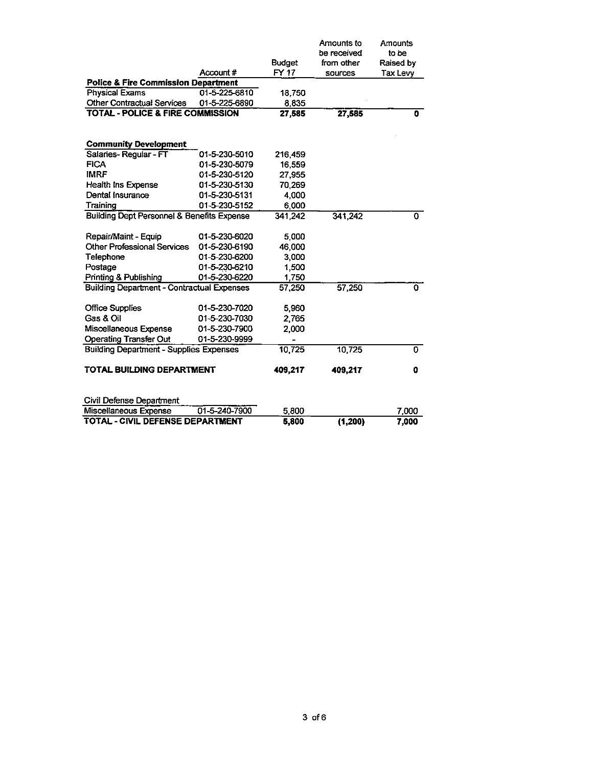|                                                       |               | <b>Budget</b> | Amounts to<br>be received<br>from other | Amounts<br>to be<br>Raised by |
|-------------------------------------------------------|---------------|---------------|-----------------------------------------|-------------------------------|
| <b>Police &amp; Fire Commission Department</b>        | Account#      | FY 17         | sources                                 | Tax Levy                      |
| <b>Physical Exams</b>                                 | 01-5-225-6810 | 18,750        |                                         |                               |
| <b>Other Contractual Services</b>                     | 01-5-225-6890 | 8,835         |                                         |                               |
| <b>TOTAL - POLICE &amp; FIRE COMMISSION</b>           |               | 27,585        | 27,585                                  | 0                             |
| <b>Community Development</b>                          |               |               |                                         |                               |
| Salaries-Regular - FT                                 | 01-5-230-5010 | 216,459       |                                         |                               |
| <b>FICA</b>                                           | 01-5-230-5079 | 16,559        |                                         |                               |
| <b>IMRF</b>                                           | 01-5-230-5120 | 27,955        |                                         |                               |
| Health Ins Expense                                    | 01-5-230-5130 | 70,269        |                                         |                               |
| Dental Insurance                                      | 01-5-230-5131 | 4.000         |                                         |                               |
| Training                                              | 01-5-230-5152 | 6,000         |                                         |                               |
| <b>Building Dept Personnel &amp; Benefits Expense</b> |               | 341,242       | 341,242                                 |                               |
| Repair/Maint - Equip                                  | 01-5-230-6020 | 5,000         |                                         |                               |
| <b>Other Professional Services</b>                    | 01-5-230-6190 | 46,000        |                                         |                               |
| <b>Telephone</b>                                      | 01-5-230-6200 | 3,000         |                                         |                               |
| Postage                                               | 01-5-230-6210 | 1,500         |                                         |                               |
| Printing & Publishing                                 | 01-5-230-6220 | 1,750         |                                         |                               |
| <b>Building Department - Contractual Expenses</b>     |               | 57,250        | 57,250                                  | 0                             |
| <b>Office Supplies</b>                                | 01-5-230-7020 | 5,960         |                                         |                               |
| Gas & Oil                                             | 01-5-230-7030 | 2,765         |                                         |                               |
| Miscellaneous Expense                                 | 01-5-230-7900 | 2,000         |                                         |                               |
| <b>Operating Transfer Out</b>                         | 01-5-230-9999 | $\rightarrow$ |                                         |                               |
| <b>Building Department - Supplies Expenses</b>        |               | 10,725        | 10,725                                  | 0                             |
| TOTAL BUILDING DEPARTMENT                             |               | 409,217       | 409,217                                 | 0                             |
| Civil Defense Department                              |               |               |                                         |                               |
| Miscellaneous Expense                                 | 01-5-240-7900 | 5,800         |                                         | 7.000                         |
|                                                       |               |               |                                         |                               |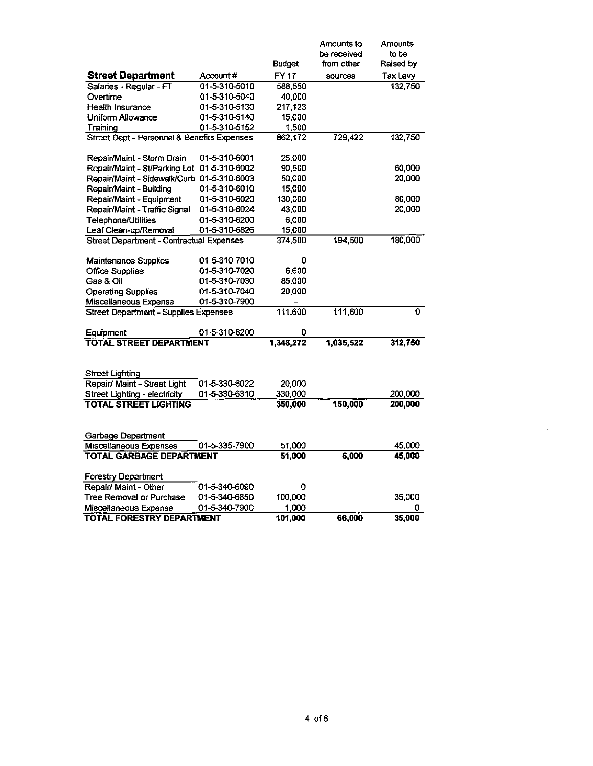|                                                           |               | <b>Budget</b>    | Amounts to<br>be received<br>from other | Amounts<br>to be<br>Raised by |
|-----------------------------------------------------------|---------------|------------------|-----------------------------------------|-------------------------------|
| <b>Street Department</b>                                  | Account#      | <b>FY17</b>      | sources                                 | Tax Levy                      |
| Salaries - Regular - FT                                   | 01-5-310-5010 | 588,550          |                                         | 132,750                       |
| Overtime                                                  | 01-5-310-5040 | 40,000           |                                         |                               |
| Health Insurance                                          | 01-5-310-5130 | 217,123          |                                         |                               |
| <b>Uniform Allowance</b>                                  | 01-5-310-5140 | 15,000           |                                         |                               |
| Training                                                  | 01-5-310-5152 | 1,500            |                                         |                               |
| Street Dept - Personnel & Benefits Expenses               |               | 862,172          | 729,422                                 | 132,750                       |
| Repair/Maint - Storm Drain                                | 01-5-310-6001 | 25,000           |                                         |                               |
| Repair/Maint - St/Parking Lot 01-5-310-6002               |               | 90,500           |                                         | 60,000                        |
| Repair/Maint - Sidewalk/Curb 01-5-310-6003                |               | 50,000           |                                         | 20,000                        |
| Repair/Maint - Building                                   | 01-5-310-6010 | 15,000           |                                         |                               |
| Repair/Maint - Equipment                                  | 01-5-310-6020 | 130,000          |                                         | 80,000                        |
| Repair/Maint - Traffic Signal                             | 01-5-310-6024 | 43,000           |                                         | 20,000                        |
| Telephone/Utilities                                       | 01-5-310-6200 | 6,000            |                                         |                               |
| Leaf Clean-up/Removal                                     | 01-5-310-6826 | 15,000           |                                         |                               |
| Street Department - Contractual Expenses                  |               | 374,500          | 194,500                                 | 180,000                       |
| Maintenance Supplies                                      | 01-5-310-7010 | 0                |                                         |                               |
| <b>Office Supplies</b>                                    | 01-5-310-7020 | 6,600            |                                         |                               |
| Gas & Oil                                                 | 01-5-310-7030 | 85,000           |                                         |                               |
| <b>Operating Supplies</b>                                 | 01-5-310-7040 | 20,000           |                                         |                               |
| Miscellaneous Expense                                     | 01-5-310-7900 |                  |                                         |                               |
| <b>Street Department - Supplies Expenses</b>              |               | 111,600          | 111,600                                 | O.                            |
| Equipment                                                 | 01-5-310-8200 | 0                |                                         |                               |
| <b>TOTAL STREET DEPARTMENT</b>                            |               | 1,348,272        | 1,035,522                               | 312,750                       |
| Street Lighting                                           |               |                  |                                         |                               |
| Repair/ Maint - Street Light                              | 01-5-330-6022 | 20,000           |                                         |                               |
| Street Lighting - electricity                             | 01-5-330-6310 | 330,000          |                                         | 200,000                       |
| <b>TOTAL STREET LIGHTING</b>                              |               | 350,000          | 150,000                                 | 200,000                       |
|                                                           |               |                  |                                         |                               |
| <b>Garbage Department</b>                                 |               |                  |                                         |                               |
| Miscellaneous Expenses<br><b>TOTAL GARBAGE DEPARTMENT</b> | 01-5-335-7900 | 51,000<br>51,000 | 6,000                                   | 45,000<br>45,000              |
|                                                           |               |                  |                                         |                               |
| Forestry Department                                       |               |                  |                                         |                               |
| Repair/ Maint - Other                                     | 01-5-340-6090 | 0                |                                         |                               |
| Tree Removal or Purchase                                  | 01-5-340-6850 | 100,000          |                                         | 35,000                        |
| Miscellaneous Expense                                     | 01-5-340-7900 | 1,000            |                                         | 0                             |
| TOTAL FORESTRY DEPARTMENT                                 |               | 101,000          | 66,000                                  | 35,000                        |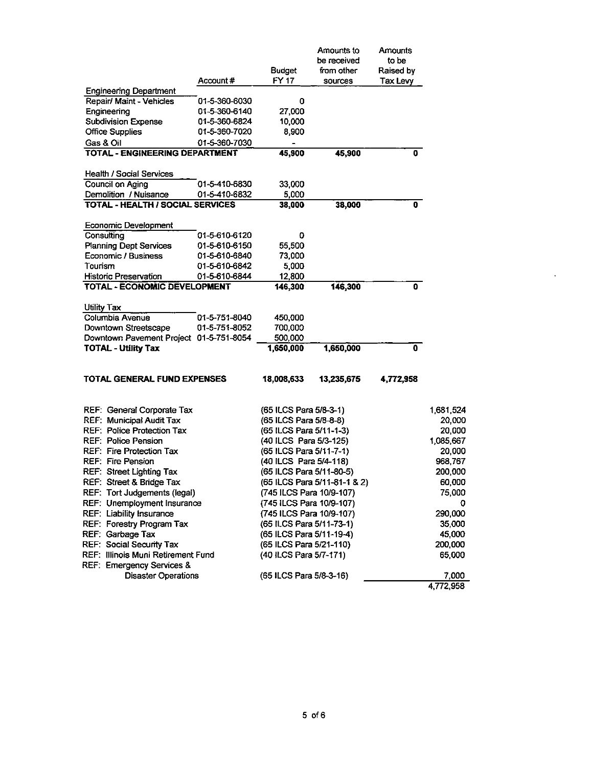|                                                        | Account#      | <b>Budget</b><br>FY 17                            | Amounts to<br>be received<br>from other | Amounts<br>to be<br>Raised by |                     |
|--------------------------------------------------------|---------------|---------------------------------------------------|-----------------------------------------|-------------------------------|---------------------|
| <b>Engineering Department</b>                          |               |                                                   | sources                                 | Tax Levy                      |                     |
| Repair/ Maint - Vehicles                               | 01-5-360-6030 | 0                                                 |                                         |                               |                     |
| Engineering                                            | 01-5-360-6140 | 27,000                                            |                                         |                               |                     |
| <b>Subdivision Expense</b>                             | 01-5-360-6824 | 10,000                                            |                                         |                               |                     |
| <b>Office Supplies</b>                                 | 01-5-360-7020 | 8,900                                             |                                         |                               |                     |
| Gas & Oil                                              | 01-5-360-7030 |                                                   |                                         |                               |                     |
| TOTAL - ENGINEERING DEPARTMENT                         |               | 45,900                                            | 45,900                                  | 0                             |                     |
| <b>Health / Social Services</b>                        |               |                                                   |                                         |                               |                     |
| <b>Council on Aging</b>                                | 01-5-410-6830 | 33,000                                            |                                         |                               |                     |
| Demolition / Nuisance                                  | 01-5-410-6832 | 5,000                                             |                                         |                               |                     |
| <b>TOTAL - HEALTH / SOCIAL SERVICES</b>                |               | 38,000                                            | 38,000                                  | 0                             |                     |
| <b>Economic Development</b>                            |               |                                                   |                                         |                               |                     |
| Consulting                                             | 01-5-610-6120 | 0                                                 |                                         |                               |                     |
| <b>Planning Dept Services</b>                          | 01-5-610-6150 | 55,500                                            |                                         |                               |                     |
| Economic / Business                                    | 01-5-610-6840 | 73,000                                            |                                         |                               |                     |
| Tourism                                                | 01-5-610-6842 | 5,000                                             |                                         |                               |                     |
| <b>Historic Preservation</b>                           | 01-5-610-6844 | 12,800                                            |                                         |                               |                     |
| TOTAL - ECONOMIC DEVELOPMENT                           |               | 146,300                                           | 146,300                                 | 0                             |                     |
| Utility Tax                                            |               |                                                   |                                         |                               |                     |
| Columbia Avenue                                        | 01-5-751-8040 | 450,000                                           |                                         |                               |                     |
| Downtown Streetscape                                   | 01-5-751-8052 | 700,000                                           |                                         |                               |                     |
| Downtown Pavement Project 01-5-751-8054                |               | 500,000                                           |                                         |                               |                     |
| <b>TOTAL - Utility Tax</b>                             |               | 1,650,000                                         | 1,650,000                               | 0                             |                     |
| TOTAL GENERAL FUND EXPENSES                            |               | 18,008,633                                        | 13,235,675                              | 4,772,958                     |                     |
|                                                        |               |                                                   |                                         |                               |                     |
| REF: General Corporate Tax                             |               | (65 ILCS Para 5/8-3-1)                            |                                         |                               | 1,681,524           |
| REF: Municipal Audit Tax<br>REF: Police Protection Tax |               | (65 ILCS Para 5/8-8-8)                            |                                         |                               | 20,000              |
| <b>REF: Police Pension</b>                             |               | (65 ILCS Para 5/11-1-3)<br>(40 ILCS Para 5/3-125) |                                         |                               | 20,000<br>1,085,667 |
| REF: Fire Protection Tax                               |               | (65 ILCS Para 5/11-7-1)                           |                                         |                               | 20,000              |
| <b>REF: Fire Pension</b>                               |               | (40 ILCS Para 5/4-118)                            |                                         |                               | 968,767             |
| <b>REF: Street Lighting Tax</b>                        |               | (65 ILCS Para 5/11-80-5)                          |                                         |                               | 200,000             |
| REF: Street & Bridge Tax                               |               |                                                   | (65 ILCS Para 5/11-81-1 & 2)            |                               | 60,000              |
| REF: Tort Judgements (legal)                           |               | (745 ILCS Para 10/9-107)                          |                                         |                               | 75,000              |
| REF: Unemployment Insurance                            |               | (745 ILCS Para 10/9-107)                          |                                         |                               | O                   |
| <b>REF: Liability Insurance</b>                        |               | (745 ILCS Para 10/9-107)                          |                                         |                               | 290,000             |
| REF: Forestry Program Tax                              |               | (65 ILCS Para 5/11-73-1)                          |                                         |                               | 35,000              |
| REF: Garbage Tax                                       |               | (65 ILCS Para 5/11-19-4)                          |                                         |                               | 45,000              |
| REF: Social Security Tax                               |               | (65 ILCS Para 5/21-110)                           |                                         |                               | 200,000             |
| REF: Illinois Muni Retirement Fund                     |               | (40 ILCS Para 5/7-171)                            |                                         |                               | 65,000              |
| REF: Emergency Services &                              |               |                                                   |                                         |                               |                     |
| <b>Disaster Operations</b>                             |               | (65 ILCS Para 5/8-3-16)                           |                                         |                               | 7,000<br>4,772,958  |

 $\langle \cdot \rangle$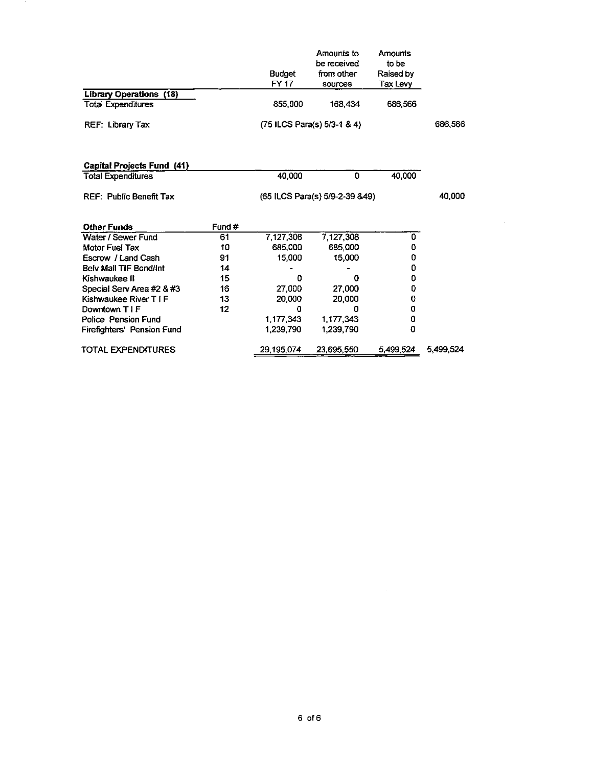|                                |        | <b>Budget</b><br>FY 17 | Amounts to<br>be received<br>from other<br>sources | Amounts<br>to be<br>Raised by<br>Tax Levy |           |
|--------------------------------|--------|------------------------|----------------------------------------------------|-------------------------------------------|-----------|
| <b>Library Operations (18)</b> |        |                        |                                                    |                                           |           |
| <b>Total Expenditures</b>      |        | 855,000                | 168,434                                            | 686,566                                   |           |
| REF: Library Tax               |        |                        | $(75$ ILCS Para $(s)$ 5/3-1 & 4)                   |                                           | 686,566   |
| Capital Projects Fund (41)     |        |                        |                                                    |                                           |           |
| <b>Total Expenditures</b>      |        | 40,000                 | 0                                                  | 40,000                                    |           |
| <b>REF: Public Benefit Tax</b> |        |                        | (65 ILCS Para(s) 5/9-2-39 & 49)                    |                                           | 40,000    |
| <b>Other Funds</b>             | Fund # |                        |                                                    |                                           |           |
| Water / Sewer Fund             | 61     | 7,127,308              | 7,127,308                                          | 0                                         |           |
| Motor Fuel Tax                 | 10     | 685,000                | 685,000                                            | 0                                         |           |
| Escrow / Land Cash             | 91     | 15,000                 | 15,000                                             | 0                                         |           |
| Bely Mail TIF Bond/int         | 14     |                        |                                                    | 0                                         |           |
| Kishwaukee II                  | 15     | o                      | Ω                                                  | 0                                         |           |
| Special Serv Area #2 & #3      | 16     | 27,000                 | 27,000                                             | 0                                         |           |
| Kishwaukee River T I F         | 13     | 20,000                 | 20,000                                             | 0                                         |           |
| Downtown T I F                 | 12     | 0                      | n                                                  | 0                                         |           |
| Police Pension Fund            |        | 1 177 343              | 1,177,343                                          | 0                                         |           |
| Firefighters' Pension Fund     |        | 1 239 790              | 1,239,790                                          | 0                                         |           |
| TOTAL EXPENDITURES             |        | 29,195,074             | 23,695,550                                         | 5,499,524                                 | 5,499,524 |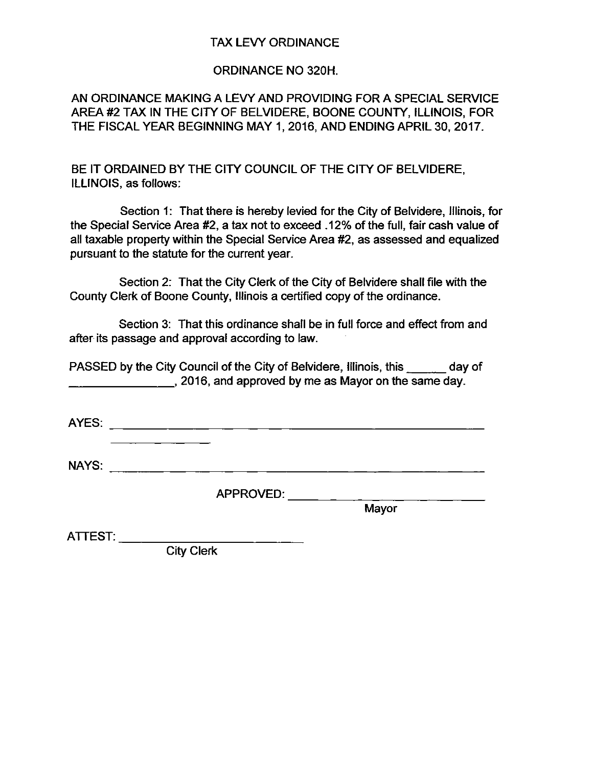# TAX LEVY ORDINANCE

## ORDINANCE NO 320H.

AN ORDINANCE MAKING A LEVY AND PROVIDING FOR A SPECIAL SERVICE AREA #2 TAX IN THE CITY OF BELVIDERE, BOONE COUNTY, ILLINOIS, FOR THE FISCAL YEAR BEGINNING MAY 1, 2016, AND ENDING APRIL 30, 2017.

BE IT ORDAINED BY THE CITY COUNCIL OF THE CITY OF BELVIDERE, ILLINOIS, as follows:

Section 1: That there is hereby levied for the City of Belvidere, Illinois, for the Special Service Area #2, a tax not to exceed . 12% of the full, fair cash value of all taxable property within the Special Service Area #2, as assessed and equalized pursuant to the statute for the current year.

Section 2: That the City Clerk of the City of Belvidere shall file with the County Clerk of Boone County, Illinois a certified copy of the ordinance.

Section 3: That this ordinance shall be in full force and effect from and after its passage and approval according to law.

PASSED by the City Council of the City of Belvidere, Illinois, this day of **2016, and approved by me as Mayor on the same day.** 

AYES:

NAYS: **NAYS: NAYS: NAYS: NAYS: NAYS: NAYS: NAYS: NAYS: NAYS: NAYS: NAYS: NAYS: NAYS: NAYS: NAYS: NAYS: NAYS: NAYS: NAYS: NAYS: NAYS: NAYS: NAYS: NAYS: NAYS: NAYS: NAYS:**

APPROVED:

**Mayor** 

ATTEST: